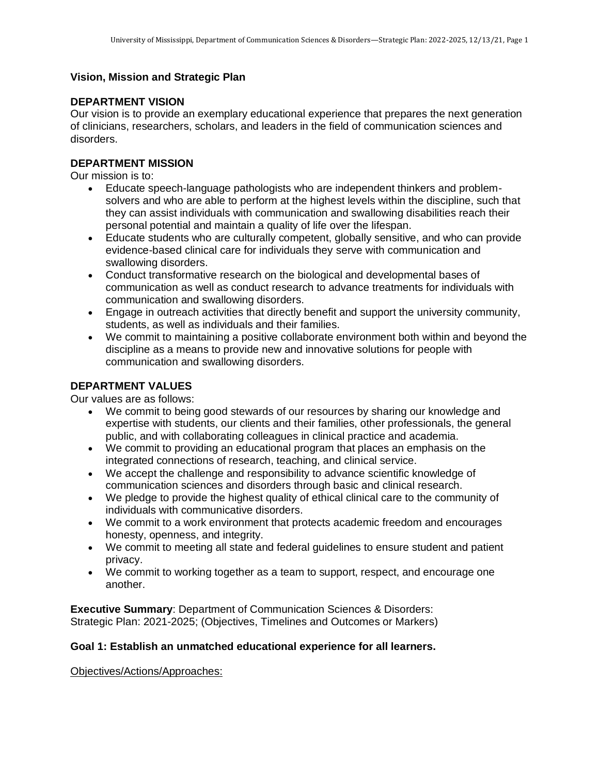# **Vision, Mission and Strategic Plan**

# **DEPARTMENT VISION**

Our vision is to provide an exemplary educational experience that prepares the next generation of clinicians, researchers, scholars, and leaders in the field of communication sciences and disorders.

# **DEPARTMENT MISSION**

Our mission is to:

- Educate speech-language pathologists who are independent thinkers and problemsolvers and who are able to perform at the highest levels within the discipline, such that they can assist individuals with communication and swallowing disabilities reach their personal potential and maintain a quality of life over the lifespan.
- Educate students who are culturally competent, globally sensitive, and who can provide evidence-based clinical care for individuals they serve with communication and swallowing disorders.
- Conduct transformative research on the biological and developmental bases of communication as well as conduct research to advance treatments for individuals with communication and swallowing disorders.
- Engage in outreach activities that directly benefit and support the university community, students, as well as individuals and their families.
- We commit to maintaining a positive collaborate environment both within and beyond the discipline as a means to provide new and innovative solutions for people with communication and swallowing disorders.

#### **DEPARTMENT VALUES**

Our values are as follows:

- We commit to being good stewards of our resources by sharing our knowledge and expertise with students, our clients and their families, other professionals, the general public, and with collaborating colleagues in clinical practice and academia.
- We commit to providing an educational program that places an emphasis on the integrated connections of research, teaching, and clinical service.
- We accept the challenge and responsibility to advance scientific knowledge of communication sciences and disorders through basic and clinical research.
- We pledge to provide the highest quality of ethical clinical care to the community of individuals with communicative disorders.
- We commit to a work environment that protects academic freedom and encourages honesty, openness, and integrity.
- We commit to meeting all state and federal guidelines to ensure student and patient privacy.
- We commit to working together as a team to support, respect, and encourage one another.

**Executive Summary**: Department of Communication Sciences & Disorders: Strategic Plan: 2021-2025; (Objectives, Timelines and Outcomes or Markers)

## **Goal 1: Establish an unmatched educational experience for all learners.**

Objectives/Actions/Approaches: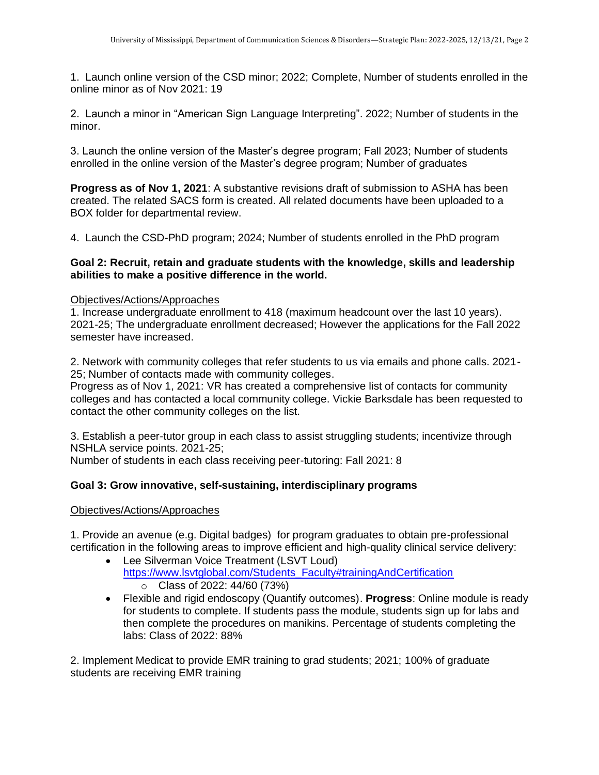1. Launch online version of the CSD minor; 2022; Complete, Number of students enrolled in the online minor as of Nov 2021: 19

2. Launch a minor in "American Sign Language Interpreting". 2022; Number of students in the minor.

3. Launch the online version of the Master's degree program; Fall 2023; Number of students enrolled in the online version of the Master's degree program; Number of graduates

**Progress as of Nov 1, 2021**: A substantive revisions draft of submission to ASHA has been created. The related SACS form is created. All related documents have been uploaded to a BOX folder for departmental review.

4. Launch the CSD-PhD program; 2024; Number of students enrolled in the PhD program

# **Goal 2: Recruit, retain and graduate students with the knowledge, skills and leadership abilities to make a positive difference in the world.**

#### Objectives/Actions/Approaches

1. Increase undergraduate enrollment to 418 (maximum headcount over the last 10 years). 2021-25; The undergraduate enrollment decreased; However the applications for the Fall 2022 semester have increased.

2. Network with community colleges that refer students to us via emails and phone calls. 2021- 25; Number of contacts made with community colleges.

Progress as of Nov 1, 2021: VR has created a comprehensive list of contacts for community colleges and has contacted a local community college. Vickie Barksdale has been requested to contact the other community colleges on the list.

3. Establish a peer-tutor group in each class to assist struggling students; incentivize through NSHLA service points. 2021-25;

Number of students in each class receiving peer-tutoring: Fall 2021: 8

## **Goal 3: Grow innovative, self-sustaining, interdisciplinary programs**

## Objectives/Actions/Approaches

1. Provide an avenue (e.g. Digital badges) for program graduates to obtain pre-professional certification in the following areas to improve efficient and high-quality clinical service delivery:

- Lee Silverman Voice Treatment (LSVT Loud) [https://www.lsvtglobal.com/Students\\_Faculty#trainingAndCertification](https://www.lsvtglobal.com/Students_Faculty#trainingAndCertification) o Class of 2022: 44/60 (73%)
- Flexible and rigid endoscopy (Quantify outcomes). **Progress**: Online module is ready for students to complete. If students pass the module, students sign up for labs and then complete the procedures on manikins. Percentage of students completing the labs: Class of 2022: 88%

2. Implement Medicat to provide EMR training to grad students; 2021; 100% of graduate students are receiving EMR training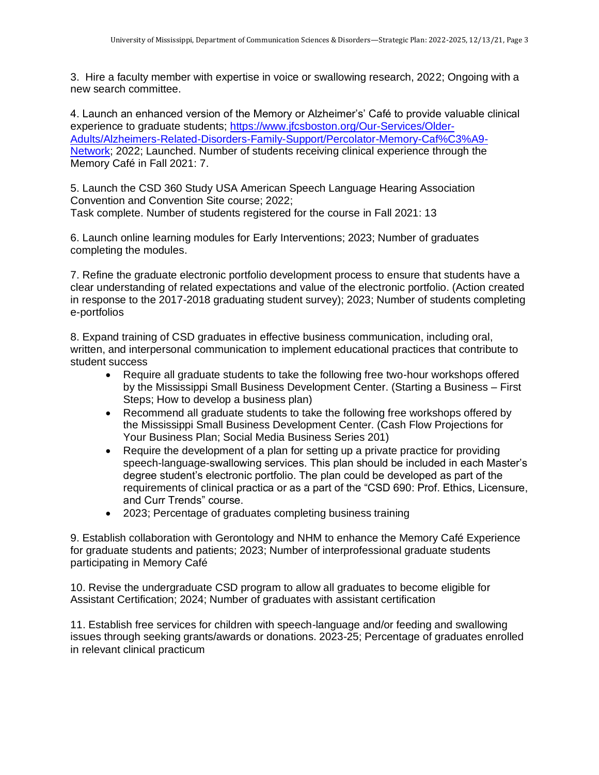3. Hire a faculty member with expertise in voice or swallowing research, 2022; Ongoing with a new search committee.

4. Launch an enhanced version of the Memory or Alzheimer's' Café to provide valuable clinical experience to graduate students; [https://www.jfcsboston.org/Our-Services/Older-](https://www.jfcsboston.org/Our-Services/Older-Adults/Alzheimers-Related-Disorders-Family-Support/Percolator-Memory-Caf%C3%A9-Network)[Adults/Alzheimers-Related-Disorders-Family-Support/Percolator-Memory-Caf%C3%A9-](https://www.jfcsboston.org/Our-Services/Older-Adults/Alzheimers-Related-Disorders-Family-Support/Percolator-Memory-Caf%C3%A9-Network) [Network;](https://www.jfcsboston.org/Our-Services/Older-Adults/Alzheimers-Related-Disorders-Family-Support/Percolator-Memory-Caf%C3%A9-Network) 2022; Launched. Number of students receiving clinical experience through the Memory Café in Fall 2021: 7.

5. Launch the CSD 360 Study USA American Speech Language Hearing Association Convention and Convention Site course; 2022; Task complete. Number of students registered for the course in Fall 2021: 13

6. Launch online learning modules for Early Interventions; 2023; Number of graduates completing the modules.

7. Refine the graduate electronic portfolio development process to ensure that students have a clear understanding of related expectations and value of the electronic portfolio. (Action created in response to the 2017-2018 graduating student survey); 2023; Number of students completing e-portfolios

8. Expand training of CSD graduates in effective business communication, including oral, written, and interpersonal communication to implement educational practices that contribute to student success

- Require all graduate students to take the following free two-hour workshops offered by the Mississippi Small Business Development Center. (Starting a Business – First Steps; How to develop a business plan)
- Recommend all graduate students to take the following free workshops offered by the Mississippi Small Business Development Center. (Cash Flow Projections for Your Business Plan; Social Media Business Series 201)
- Require the development of a plan for setting up a private practice for providing speech-language-swallowing services. This plan should be included in each Master's degree student's electronic portfolio. The plan could be developed as part of the requirements of clinical practica or as a part of the "CSD 690: Prof. Ethics, Licensure, and Curr Trends" course.
- 2023; Percentage of graduates completing business training

9. Establish collaboration with Gerontology and NHM to enhance the Memory Café Experience for graduate students and patients; 2023; Number of interprofessional graduate students participating in Memory Café

10. Revise the undergraduate CSD program to allow all graduates to become eligible for Assistant Certification; 2024; Number of graduates with assistant certification

11. Establish free services for children with speech-language and/or feeding and swallowing issues through seeking grants/awards or donations. 2023-25; Percentage of graduates enrolled in relevant clinical practicum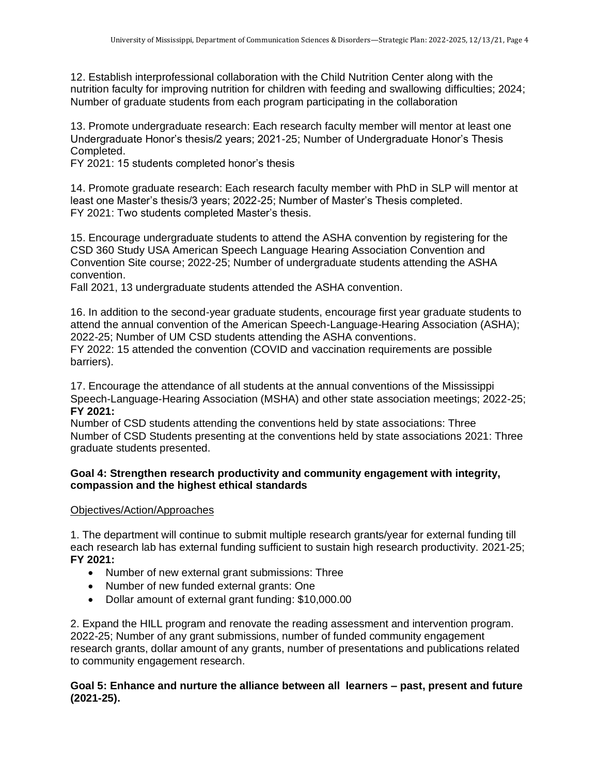12. Establish interprofessional collaboration with the Child Nutrition Center along with the nutrition faculty for improving nutrition for children with feeding and swallowing difficulties; 2024; Number of graduate students from each program participating in the collaboration

13. Promote undergraduate research: Each research faculty member will mentor at least one Undergraduate Honor's thesis/2 years; 2021-25; Number of Undergraduate Honor's Thesis Completed.

FY 2021: 15 students completed honor's thesis

14. Promote graduate research: Each research faculty member with PhD in SLP will mentor at least one Master's thesis/3 years; 2022-25; Number of Master's Thesis completed. FY 2021: Two students completed Master's thesis.

15. Encourage undergraduate students to attend the ASHA convention by registering for the CSD 360 Study USA American Speech Language Hearing Association Convention and Convention Site course; 2022-25; Number of undergraduate students attending the ASHA convention.

Fall 2021, 13 undergraduate students attended the ASHA convention.

16. In addition to the second-year graduate students, encourage first year graduate students to attend the annual convention of the American Speech-Language-Hearing Association (ASHA); 2022-25; Number of UM CSD students attending the ASHA conventions.

FY 2022: 15 attended the convention (COVID and vaccination requirements are possible barriers).

17. Encourage the attendance of all students at the annual conventions of the Mississippi Speech-Language-Hearing Association (MSHA) and other state association meetings; 2022-25; **FY 2021:**

Number of CSD students attending the conventions held by state associations: Three Number of CSD Students presenting at the conventions held by state associations 2021: Three graduate students presented.

## **Goal 4: Strengthen research productivity and community engagement with integrity, compassion and the highest ethical standards**

#### Objectives/Action/Approaches

1. The department will continue to submit multiple research grants/year for external funding till each research lab has external funding sufficient to sustain high research productivity. 2021-25; **FY 2021:** 

- Number of new external grant submissions: Three
- Number of new funded external grants: One
- Dollar amount of external grant funding: \$10,000.00

2. Expand the HILL program and renovate the reading assessment and intervention program. 2022-25; Number of any grant submissions, number of funded community engagement research grants, dollar amount of any grants, number of presentations and publications related to community engagement research.

## **Goal 5: Enhance and nurture the alliance between all learners – past, present and future (2021-25).**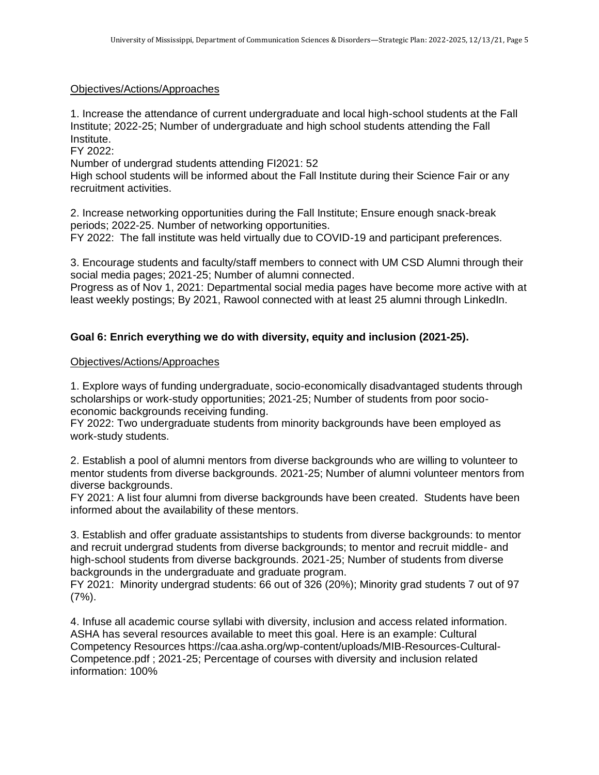## Objectives/Actions/Approaches

1. Increase the attendance of current undergraduate and local high-school students at the Fall Institute; 2022-25; Number of undergraduate and high school students attending the Fall Institute.

FY 2022:

Number of undergrad students attending FI2021: 52

High school students will be informed about the Fall Institute during their Science Fair or any recruitment activities.

2. Increase networking opportunities during the Fall Institute; Ensure enough snack-break periods; 2022-25. Number of networking opportunities.

FY 2022: The fall institute was held virtually due to COVID-19 and participant preferences.

3. Encourage students and faculty/staff members to connect with UM CSD Alumni through their social media pages; 2021-25; Number of alumni connected.

Progress as of Nov 1, 2021: Departmental social media pages have become more active with at least weekly postings; By 2021, Rawool connected with at least 25 alumni through LinkedIn.

# **Goal 6: Enrich everything we do with diversity, equity and inclusion (2021-25).**

#### Objectives/Actions/Approaches

1. Explore ways of funding undergraduate, socio-economically disadvantaged students through scholarships or work-study opportunities; 2021-25; Number of students from poor socioeconomic backgrounds receiving funding.

FY 2022: Two undergraduate students from minority backgrounds have been employed as work-study students.

2. Establish a pool of alumni mentors from diverse backgrounds who are willing to volunteer to mentor students from diverse backgrounds. 2021-25; Number of alumni volunteer mentors from diverse backgrounds.

FY 2021: A list four alumni from diverse backgrounds have been created. Students have been informed about the availability of these mentors.

3. Establish and offer graduate assistantships to students from diverse backgrounds: to mentor and recruit undergrad students from diverse backgrounds; to mentor and recruit middle- and high-school students from diverse backgrounds. 2021-25; Number of students from diverse backgrounds in the undergraduate and graduate program.

FY 2021: Minority undergrad students: 66 out of 326 (20%); Minority grad students 7 out of 97 (7%).

4. Infuse all academic course syllabi with diversity, inclusion and access related information. ASHA has several resources available to meet this goal. Here is an example: Cultural Competency Resources https://caa.asha.org/wp-content/uploads/MIB-Resources-Cultural-Competence.pdf ; 2021-25; Percentage of courses with diversity and inclusion related information: 100%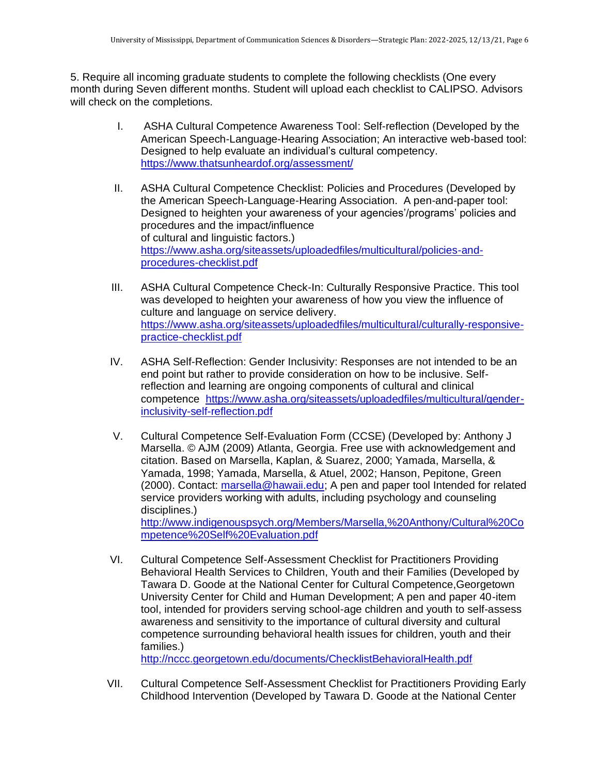5. Require all incoming graduate students to complete the following checklists (One every month during Seven different months. Student will upload each checklist to CALIPSO. Advisors will check on the completions.

- I. ASHA Cultural Competence Awareness Tool: Self-reflection (Developed by the American Speech-Language-Hearing Association; An interactive web-based tool: Designed to help evaluate an individual's cultural competency. <https://www.thatsunheardof.org/assessment/>
- II. ASHA Cultural Competence Checklist: Policies and Procedures (Developed by the American Speech-Language-Hearing Association. A pen-and-paper tool: Designed to heighten your awareness of your agencies'/programs' policies and procedures and the impact/influence of cultural and linguistic factors.) [https://www.asha.org/siteassets/uploadedfiles/multicultural/policies-and](https://www.asha.org/siteassets/uploadedfiles/multicultural/policies-and-procedures-checklist.pdf)[procedures-checklist.pdf](https://www.asha.org/siteassets/uploadedfiles/multicultural/policies-and-procedures-checklist.pdf)
- III. ASHA Cultural Competence Check-In: Culturally Responsive Practice. This tool was developed to heighten your awareness of how you view the influence of culture and language on service delivery. [https://www.asha.org/siteassets/uploadedfiles/multicultural/culturally-responsive](https://www.asha.org/siteassets/uploadedfiles/multicultural/culturally-responsive-practice-checklist.pdf)[practice-checklist.pdf](https://www.asha.org/siteassets/uploadedfiles/multicultural/culturally-responsive-practice-checklist.pdf)
- IV. ASHA Self-Reflection: Gender Inclusivity: Responses are not intended to be an end point but rather to provide consideration on how to be inclusive. Selfreflection and learning are ongoing components of cultural and clinical competence [https://www.asha.org/siteassets/uploadedfiles/multicultural/gender](https://www.asha.org/siteassets/uploadedfiles/multicultural/gender-inclusivity-self-reflection.pdf)[inclusivity-self-reflection.pdf](https://www.asha.org/siteassets/uploadedfiles/multicultural/gender-inclusivity-self-reflection.pdf)
- V. Cultural Competence Self-Evaluation Form (CCSE) (Developed by: Anthony J Marsella. © AJM (2009) Atlanta, Georgia. Free use with acknowledgement and citation. Based on Marsella, Kaplan, & Suarez, 2000; Yamada, Marsella, & Yamada, 1998; Yamada, Marsella, & Atuel, 2002; Hanson, Pepitone, Green (2000). Contact: [marsella@hawaii.edu;](mailto:marsella@hawaii.edu) A pen and paper tool Intended for related service providers working with adults, including psychology and counseling disciplines.) [http://www.indigenouspsych.org/Members/Marsella,%20Anthony/Cultural%20Co](http://www.indigenouspsych.org/Members/Marsella,%20Anthony/Cultural%20Competence%20Self%20Evaluation.pdf)

[mpetence%20Self%20Evaluation.pdf](http://www.indigenouspsych.org/Members/Marsella,%20Anthony/Cultural%20Competence%20Self%20Evaluation.pdf)

VI. Cultural Competence Self-Assessment Checklist for Practitioners Providing Behavioral Health Services to Children, Youth and their Families (Developed by Tawara D. Goode at the National Center for Cultural Competence,Georgetown University Center for Child and Human Development; A pen and paper 40-item tool, intended for providers serving school-age children and youth to self-assess awareness and sensitivity to the importance of cultural diversity and cultural competence surrounding behavioral health issues for children, youth and their families.)

<http://nccc.georgetown.edu/documents/ChecklistBehavioralHealth.pdf>

VII. Cultural Competence Self-Assessment Checklist for Practitioners Providing Early Childhood Intervention (Developed by Tawara D. Goode at the National Center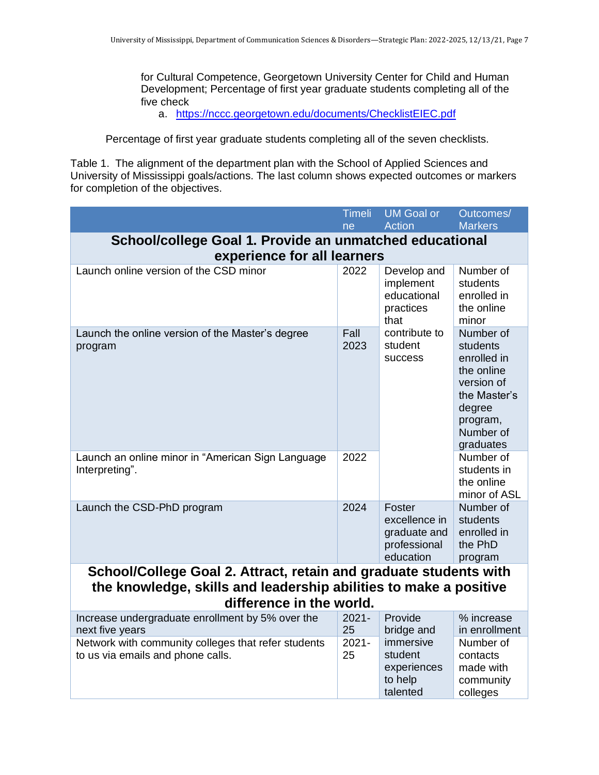for Cultural Competence, Georgetown University Center for Child and Human Development; Percentage of first year graduate students completing all of the five check

a. <https://nccc.georgetown.edu/documents/ChecklistEIEC.pdf>

Percentage of first year graduate students completing all of the seven checklists.

Table 1. The alignment of the department plan with the School of Applied Sciences and University of Mississippi goals/actions. The last column shows expected outcomes or markers for completion of the objectives.

|                                                                                          | <b>Timeli</b>  | <b>UM Goal or</b>                                                    | Outcomes/                                                                                                                        |  |
|------------------------------------------------------------------------------------------|----------------|----------------------------------------------------------------------|----------------------------------------------------------------------------------------------------------------------------------|--|
|                                                                                          | ne             | <b>Action</b>                                                        | <b>Markers</b>                                                                                                                   |  |
| School/college Goal 1. Provide an unmatched educational<br>experience for all learners   |                |                                                                      |                                                                                                                                  |  |
| Launch online version of the CSD minor                                                   | 2022           | Develop and<br>implement<br>educational<br>practices<br>that         | Number of<br>students<br>enrolled in<br>the online<br>minor                                                                      |  |
| Launch the online version of the Master's degree<br>program                              | Fall<br>2023   | contribute to<br>student<br>success                                  | Number of<br>students<br>enrolled in<br>the online<br>version of<br>the Master's<br>degree<br>program,<br>Number of<br>graduates |  |
| Launch an online minor in "American Sign Language<br>Interpreting".                      | 2022           |                                                                      | Number of<br>students in<br>the online<br>minor of ASL                                                                           |  |
| Launch the CSD-PhD program                                                               | 2024           | Foster<br>excellence in<br>graduate and<br>professional<br>education | Number of<br>students<br>enrolled in<br>the PhD<br>program                                                                       |  |
| School/College Goal 2. Attract, retain and graduate students with                        |                |                                                                      |                                                                                                                                  |  |
| the knowledge, skills and leadership abilities to make a positive                        |                |                                                                      |                                                                                                                                  |  |
| difference in the world.                                                                 |                |                                                                      |                                                                                                                                  |  |
| Increase undergraduate enrollment by 5% over the<br>next five years                      | $2021 -$<br>25 | Provide<br>bridge and                                                | % increase<br>in enrollment                                                                                                      |  |
| Network with community colleges that refer students<br>to us via emails and phone calls. | $2021 -$<br>25 | immersive<br>student<br>experiences<br>to help<br>talented           | Number of<br>contacts<br>made with<br>community<br>colleges                                                                      |  |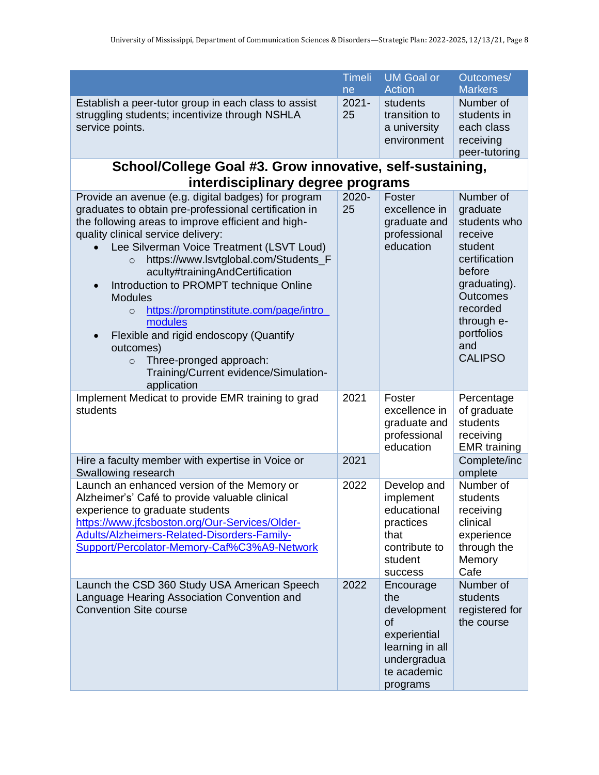|                                                                                                                                                                                                                                                                                                                                                                                                                                                                                                                                                                                                                                 | <b>Timeli</b>  | <b>UM Goal or</b>                                                                                                  | Outcomes/                                                                                                                                                                                  |
|---------------------------------------------------------------------------------------------------------------------------------------------------------------------------------------------------------------------------------------------------------------------------------------------------------------------------------------------------------------------------------------------------------------------------------------------------------------------------------------------------------------------------------------------------------------------------------------------------------------------------------|----------------|--------------------------------------------------------------------------------------------------------------------|--------------------------------------------------------------------------------------------------------------------------------------------------------------------------------------------|
|                                                                                                                                                                                                                                                                                                                                                                                                                                                                                                                                                                                                                                 | ne             | <b>Action</b>                                                                                                      | <b>Markers</b>                                                                                                                                                                             |
| Establish a peer-tutor group in each class to assist<br>struggling students; incentivize through NSHLA<br>service points.                                                                                                                                                                                                                                                                                                                                                                                                                                                                                                       | $2021 -$<br>25 | students<br>transition to<br>a university<br>environment                                                           | Number of<br>students in<br>each class<br>receiving<br>peer-tutoring                                                                                                                       |
| School/College Goal #3. Grow innovative, self-sustaining,                                                                                                                                                                                                                                                                                                                                                                                                                                                                                                                                                                       |                |                                                                                                                    |                                                                                                                                                                                            |
| interdisciplinary degree programs                                                                                                                                                                                                                                                                                                                                                                                                                                                                                                                                                                                               |                |                                                                                                                    |                                                                                                                                                                                            |
| Provide an avenue (e.g. digital badges) for program<br>graduates to obtain pre-professional certification in<br>the following areas to improve efficient and high-<br>quality clinical service delivery:<br>Lee Silverman Voice Treatment (LSVT Loud)<br>https://www.lsvtglobal.com/Students_F<br>$\circ$<br>aculty#trainingAndCertification<br>Introduction to PROMPT technique Online<br><b>Modules</b><br>https://promptinstitute.com/page/intro_<br>$\circ$<br>modules<br>Flexible and rigid endoscopy (Quantify<br>outcomes)<br>Three-pronged approach:<br>$\circ$<br>Training/Current evidence/Simulation-<br>application | 2020-<br>25    | Foster<br>excellence in<br>graduate and<br>professional<br>education                                               | Number of<br>graduate<br>students who<br>receive<br>student<br>certification<br>before<br>graduating).<br><b>Outcomes</b><br>recorded<br>through e-<br>portfolios<br>and<br><b>CALIPSO</b> |
| Implement Medicat to provide EMR training to grad<br>students                                                                                                                                                                                                                                                                                                                                                                                                                                                                                                                                                                   | 2021           | Foster<br>excellence in<br>graduate and<br>professional<br>education                                               | Percentage<br>of graduate<br>students<br>receiving<br><b>EMR</b> training                                                                                                                  |
| Hire a faculty member with expertise in Voice or<br>Swallowing research                                                                                                                                                                                                                                                                                                                                                                                                                                                                                                                                                         | 2021           |                                                                                                                    | Complete/inc<br>omplete                                                                                                                                                                    |
| Launch an enhanced version of the Memory or<br>Alzheimer's' Café to provide valuable clinical<br>experience to graduate students<br>https://www.jfcsboston.org/Our-Services/Older-<br>Adults/Alzheimers-Related-Disorders-Family-<br>Support/Percolator-Memory-Caf%C3%A9-Network                                                                                                                                                                                                                                                                                                                                                | 2022           | Develop and<br>implement<br>educational<br>practices<br>that<br>contribute to<br>student<br>success                | Number of<br>students<br>receiving<br>clinical<br>experience<br>through the<br>Memory<br>Cafe                                                                                              |
| Launch the CSD 360 Study USA American Speech<br>Language Hearing Association Convention and<br><b>Convention Site course</b>                                                                                                                                                                                                                                                                                                                                                                                                                                                                                                    | 2022           | Encourage<br>the<br>development<br>of<br>experiential<br>learning in all<br>undergradua<br>te academic<br>programs | Number of<br>students<br>registered for<br>the course                                                                                                                                      |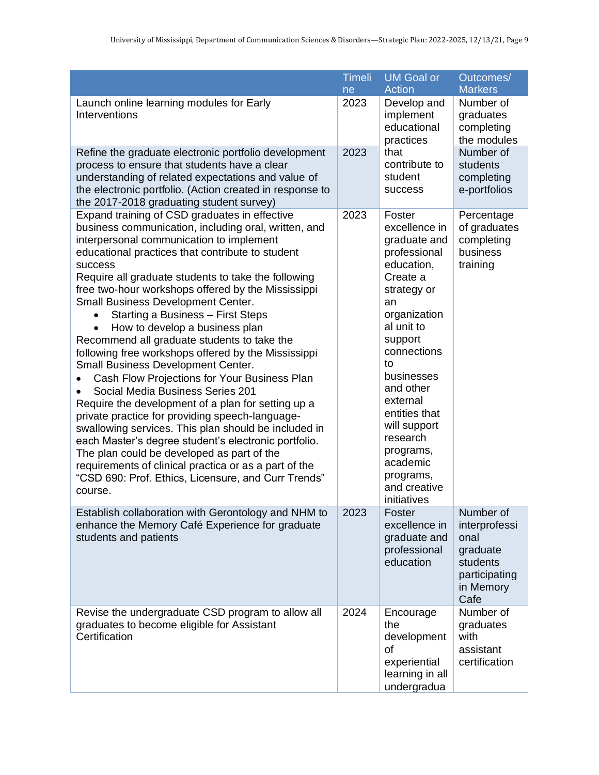|                                                                                                                                                                                                                                                                                                                                                                                                                                                                                                                                                                                                                                                                                                                                                                                                                                                                                                                                                                                                                                                                                           | <b>Timeli</b><br>ne | <b>UM Goal or</b><br><b>Action</b>                                                                                                                                                                                                                                                                                            | Outcomes/<br><b>Markers</b>                                                                      |
|-------------------------------------------------------------------------------------------------------------------------------------------------------------------------------------------------------------------------------------------------------------------------------------------------------------------------------------------------------------------------------------------------------------------------------------------------------------------------------------------------------------------------------------------------------------------------------------------------------------------------------------------------------------------------------------------------------------------------------------------------------------------------------------------------------------------------------------------------------------------------------------------------------------------------------------------------------------------------------------------------------------------------------------------------------------------------------------------|---------------------|-------------------------------------------------------------------------------------------------------------------------------------------------------------------------------------------------------------------------------------------------------------------------------------------------------------------------------|--------------------------------------------------------------------------------------------------|
| Launch online learning modules for Early<br>Interventions                                                                                                                                                                                                                                                                                                                                                                                                                                                                                                                                                                                                                                                                                                                                                                                                                                                                                                                                                                                                                                 | 2023                | Develop and<br>implement<br>educational<br>practices                                                                                                                                                                                                                                                                          | Number of<br>graduates<br>completing<br>the modules                                              |
| Refine the graduate electronic portfolio development<br>process to ensure that students have a clear<br>understanding of related expectations and value of<br>the electronic portfolio. (Action created in response to<br>the 2017-2018 graduating student survey)                                                                                                                                                                                                                                                                                                                                                                                                                                                                                                                                                                                                                                                                                                                                                                                                                        | 2023                | that<br>contribute to<br>student<br><b>SUCCESS</b>                                                                                                                                                                                                                                                                            | Number of<br>students<br>completing<br>e-portfolios                                              |
| Expand training of CSD graduates in effective<br>business communication, including oral, written, and<br>interpersonal communication to implement<br>educational practices that contribute to student<br>success<br>Require all graduate students to take the following<br>free two-hour workshops offered by the Mississippi<br>Small Business Development Center.<br>Starting a Business - First Steps<br>$\bullet$<br>How to develop a business plan<br>Recommend all graduate students to take the<br>following free workshops offered by the Mississippi<br>Small Business Development Center.<br>Cash Flow Projections for Your Business Plan<br>Social Media Business Series 201<br>Require the development of a plan for setting up a<br>private practice for providing speech-language-<br>swallowing services. This plan should be included in<br>each Master's degree student's electronic portfolio.<br>The plan could be developed as part of the<br>requirements of clinical practica or as a part of the<br>"CSD 690: Prof. Ethics, Licensure, and Curr Trends"<br>course. | 2023                | Foster<br>excellence in<br>graduate and<br>professional<br>education,<br>Create a<br>strategy or<br>an<br>organization<br>al unit to<br>support<br>connections<br>to<br>businesses<br>and other<br>external<br>entities that<br>will support<br>research<br>programs,<br>academic<br>programs,<br>and creative<br>initiatives | Percentage<br>of graduates<br>completing<br>business<br>training                                 |
| Establish collaboration with Gerontology and NHM to<br>enhance the Memory Café Experience for graduate<br>students and patients                                                                                                                                                                                                                                                                                                                                                                                                                                                                                                                                                                                                                                                                                                                                                                                                                                                                                                                                                           | 2023                | Foster<br>excellence in<br>graduate and<br>professional<br>education                                                                                                                                                                                                                                                          | Number of<br>interprofessi<br>onal<br>graduate<br>students<br>participating<br>in Memory<br>Cafe |
| Revise the undergraduate CSD program to allow all<br>graduates to become eligible for Assistant<br>Certification                                                                                                                                                                                                                                                                                                                                                                                                                                                                                                                                                                                                                                                                                                                                                                                                                                                                                                                                                                          | 2024                | Encourage<br>the<br>development<br>of<br>experiential<br>learning in all<br>undergradua                                                                                                                                                                                                                                       | Number of<br>graduates<br>with<br>assistant<br>certification                                     |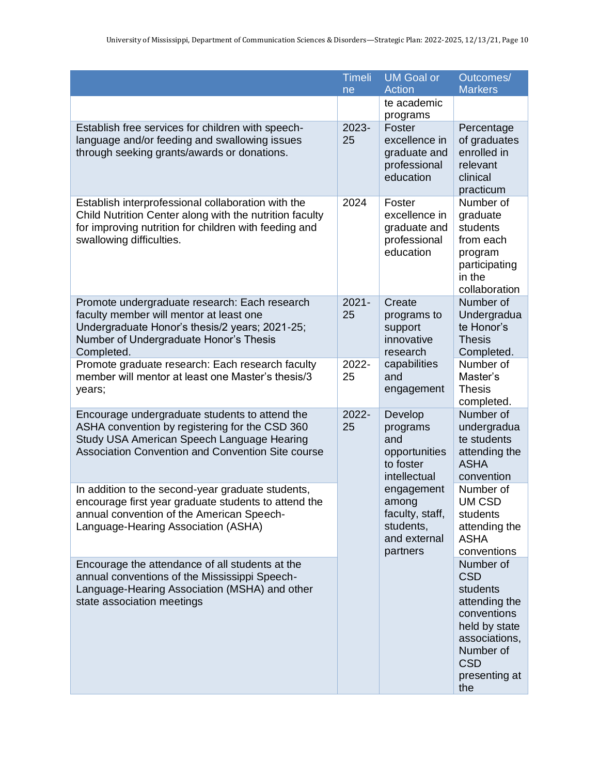|                                                                                                                                                                                                     | <b>Timeli</b><br>ne | <b>UM Goal or</b><br><b>Action</b>                                              | Outcomes/<br><b>Markers</b>                                                                                                                              |
|-----------------------------------------------------------------------------------------------------------------------------------------------------------------------------------------------------|---------------------|---------------------------------------------------------------------------------|----------------------------------------------------------------------------------------------------------------------------------------------------------|
|                                                                                                                                                                                                     |                     | te academic<br>programs                                                         |                                                                                                                                                          |
| Establish free services for children with speech-<br>language and/or feeding and swallowing issues<br>through seeking grants/awards or donations.                                                   | 2023-<br>25         | Foster<br>excellence in<br>graduate and<br>professional<br>education            | Percentage<br>of graduates<br>enrolled in<br>relevant<br>clinical<br>practicum                                                                           |
| Establish interprofessional collaboration with the<br>Child Nutrition Center along with the nutrition faculty<br>for improving nutrition for children with feeding and<br>swallowing difficulties.  | 2024                | Foster<br>excellence in<br>graduate and<br>professional<br>education            | Number of<br>graduate<br>students<br>from each<br>program<br>participating<br>in the<br>collaboration                                                    |
| Promote undergraduate research: Each research<br>faculty member will mentor at least one<br>Undergraduate Honor's thesis/2 years; 2021-25;<br>Number of Undergraduate Honor's Thesis<br>Completed.  | $2021 -$<br>25      | Create<br>programs to<br>support<br>innovative<br>research                      | Number of<br>Undergradua<br>te Honor's<br><b>Thesis</b><br>Completed.                                                                                    |
| Promote graduate research: Each research faculty<br>member will mentor at least one Master's thesis/3<br>years;                                                                                     | 2022-<br>25         | capabilities<br>and<br>engagement                                               | Number of<br>Master's<br><b>Thesis</b><br>completed.                                                                                                     |
| Encourage undergraduate students to attend the<br>ASHA convention by registering for the CSD 360<br>Study USA American Speech Language Hearing<br>Association Convention and Convention Site course | 2022-<br>25         | Develop<br>programs<br>and<br>opportunities<br>to foster<br>intellectual        | Number of<br>undergradua<br>te students<br>attending the<br><b>ASHA</b><br>convention                                                                    |
| In addition to the second-year graduate students,<br>encourage first year graduate students to attend the<br>annual convention of the American Speech-<br>Language-Hearing Association (ASHA)       |                     | engagement<br>among<br>faculty, staff,<br>students,<br>and external<br>partners | Number of<br><b>UM CSD</b><br>students<br>attending the<br><b>ASHA</b><br>conventions                                                                    |
| Encourage the attendance of all students at the<br>annual conventions of the Mississippi Speech-<br>Language-Hearing Association (MSHA) and other<br>state association meetings                     |                     |                                                                                 | Number of<br><b>CSD</b><br>students<br>attending the<br>conventions<br>held by state<br>associations,<br>Number of<br><b>CSD</b><br>presenting at<br>the |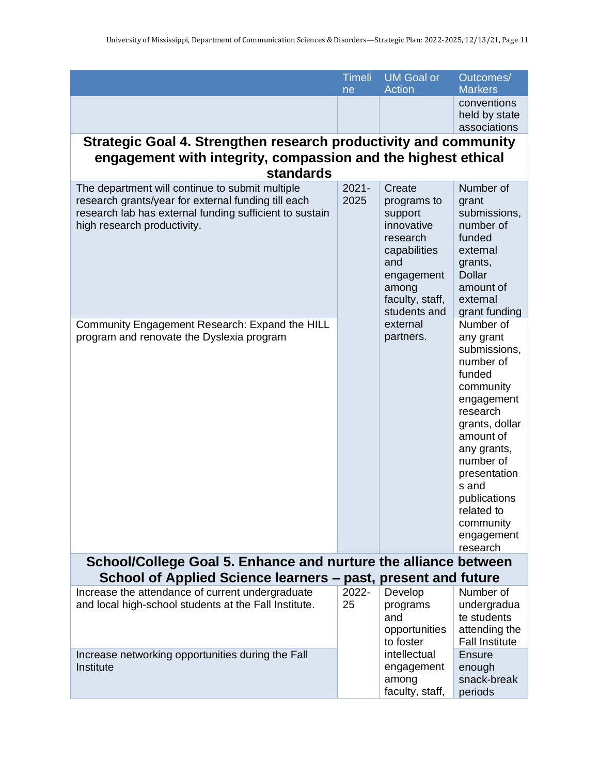|                                                                                                                                                                                                  | <b>Timeli</b>    | <b>UM Goal or</b>                                      | Outcomes/                                                                                                                                                                                                                                        |
|--------------------------------------------------------------------------------------------------------------------------------------------------------------------------------------------------|------------------|--------------------------------------------------------|--------------------------------------------------------------------------------------------------------------------------------------------------------------------------------------------------------------------------------------------------|
|                                                                                                                                                                                                  |                  | <b>Action</b>                                          | <b>Markers</b>                                                                                                                                                                                                                                   |
|                                                                                                                                                                                                  | ne               |                                                        | conventions                                                                                                                                                                                                                                      |
|                                                                                                                                                                                                  |                  |                                                        | held by state                                                                                                                                                                                                                                    |
|                                                                                                                                                                                                  |                  |                                                        | associations                                                                                                                                                                                                                                     |
| Strategic Goal 4. Strengthen research productivity and community                                                                                                                                 |                  |                                                        |                                                                                                                                                                                                                                                  |
|                                                                                                                                                                                                  |                  |                                                        |                                                                                                                                                                                                                                                  |
| engagement with integrity, compassion and the highest ethical                                                                                                                                    |                  |                                                        |                                                                                                                                                                                                                                                  |
| <b>standards</b>                                                                                                                                                                                 |                  |                                                        |                                                                                                                                                                                                                                                  |
| The department will continue to submit multiple<br>research grants/year for external funding till each<br>research lab has external funding sufficient to sustain<br>high research productivity. | $2021 -$<br>2025 | Create<br>programs to<br>support<br>innovative         | Number of<br>grant<br>submissions,<br>number of                                                                                                                                                                                                  |
|                                                                                                                                                                                                  |                  | research<br>capabilities<br>and                        | funded<br>external<br>grants,                                                                                                                                                                                                                    |
|                                                                                                                                                                                                  |                  | engagement<br>among<br>faculty, staff,                 | <b>Dollar</b><br>amount of<br>external                                                                                                                                                                                                           |
|                                                                                                                                                                                                  |                  | students and                                           | grant funding                                                                                                                                                                                                                                    |
|                                                                                                                                                                                                  |                  | external                                               | Number of                                                                                                                                                                                                                                        |
| Community Engagement Research: Expand the HILL<br>program and renovate the Dyslexia program                                                                                                      |                  | partners.                                              | any grant<br>submissions,<br>number of<br>funded<br>community<br>engagement<br>research<br>grants, dollar<br>amount of<br>any grants,<br>number of<br>presentation<br>s and<br>publications<br>related to<br>community<br>engagement<br>research |
| School/College Goal 5. Enhance and nurture the alliance between                                                                                                                                  |                  |                                                        |                                                                                                                                                                                                                                                  |
| School of Applied Science learners – past, present and future                                                                                                                                    |                  |                                                        |                                                                                                                                                                                                                                                  |
| Increase the attendance of current undergraduate                                                                                                                                                 | 2022-            | Develop                                                | Number of                                                                                                                                                                                                                                        |
| and local high-school students at the Fall Institute.                                                                                                                                            | 25               | programs                                               | undergradua                                                                                                                                                                                                                                      |
|                                                                                                                                                                                                  |                  | and                                                    | te students                                                                                                                                                                                                                                      |
|                                                                                                                                                                                                  |                  | opportunities                                          | attending the                                                                                                                                                                                                                                    |
|                                                                                                                                                                                                  |                  | to foster                                              | <b>Fall Institute</b>                                                                                                                                                                                                                            |
| Increase networking opportunities during the Fall<br>Institute                                                                                                                                   |                  | intellectual<br>engagement<br>among<br>faculty, staff, | Ensure<br>enough<br>snack-break<br>periods                                                                                                                                                                                                       |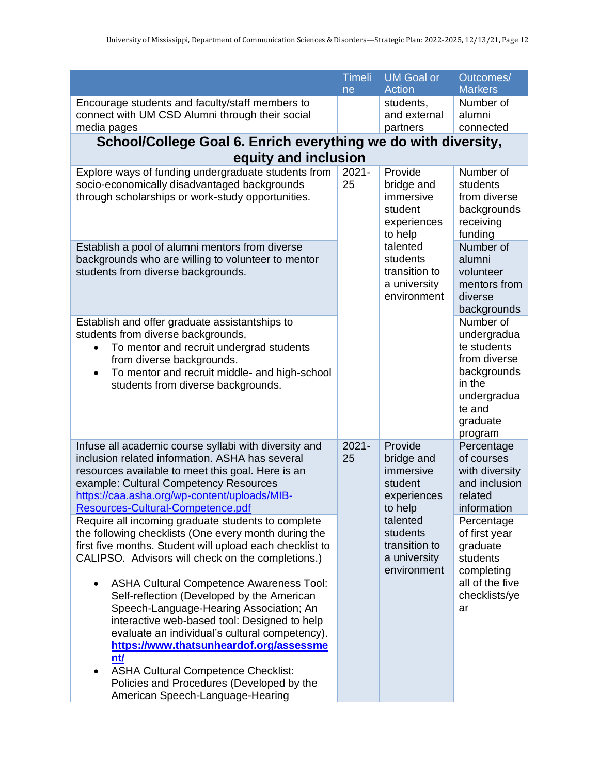|                                                                                                                  | <b>Timeli</b>  | <b>UM Goal or</b>         | Outcomes/                   |
|------------------------------------------------------------------------------------------------------------------|----------------|---------------------------|-----------------------------|
|                                                                                                                  | ne             | <b>Action</b>             | <b>Markers</b>              |
| Encourage students and faculty/staff members to<br>connect with UM CSD Alumni through their social               |                | students,<br>and external | Number of<br>alumni         |
| media pages                                                                                                      |                | partners                  | connected                   |
| School/College Goal 6. Enrich everything we do with diversity,                                                   |                |                           |                             |
| equity and inclusion                                                                                             |                |                           |                             |
| Explore ways of funding undergraduate students from                                                              | $2021 -$       | Provide                   | Number of                   |
| socio-economically disadvantaged backgrounds                                                                     | 25             | bridge and                | students                    |
| through scholarships or work-study opportunities.                                                                |                | immersive                 | from diverse                |
|                                                                                                                  |                | student                   | backgrounds                 |
|                                                                                                                  |                | experiences               | receiving                   |
|                                                                                                                  |                | to help                   | funding                     |
| Establish a pool of alumni mentors from diverse                                                                  |                | talented                  | Number of                   |
| backgrounds who are willing to volunteer to mentor<br>students from diverse backgrounds.                         |                | students<br>transition to | alumni<br>volunteer         |
|                                                                                                                  |                | a university              | mentors from                |
|                                                                                                                  |                | environment               | diverse                     |
|                                                                                                                  |                |                           | backgrounds                 |
| Establish and offer graduate assistantships to                                                                   |                |                           | Number of                   |
| students from diverse backgrounds,                                                                               |                |                           | undergradua                 |
| To mentor and recruit undergrad students<br>$\bullet$                                                            |                |                           | te students<br>from diverse |
| from diverse backgrounds.<br>To mentor and recruit middle- and high-school<br>$\bullet$                          |                |                           | backgrounds                 |
| students from diverse backgrounds.                                                                               |                |                           | in the                      |
|                                                                                                                  |                |                           | undergradua                 |
|                                                                                                                  |                |                           | te and                      |
|                                                                                                                  |                |                           | graduate                    |
|                                                                                                                  |                |                           | program                     |
| Infuse all academic course syllabi with diversity and<br>inclusion related information. ASHA has several         | $2021 -$<br>25 | Provide<br>bridge and     | Percentage<br>of courses    |
| resources available to meet this goal. Here is an                                                                |                | immersive                 | with diversity              |
| example: Cultural Competency Resources                                                                           |                | student                   | and inclusion               |
| https://caa.asha.org/wp-content/uploads/MIB-                                                                     |                | experiences               | related                     |
| Resources-Cultural-Competence.pdf                                                                                |                | to help                   | information                 |
| Require all incoming graduate students to complete                                                               |                | talented                  | Percentage                  |
| the following checklists (One every month during the<br>first five months. Student will upload each checklist to |                | students<br>transition to | of first year               |
| CALIPSO. Advisors will check on the completions.)                                                                |                | a university              | graduate<br>students        |
|                                                                                                                  |                | environment               | completing                  |
| <b>ASHA Cultural Competence Awareness Tool:</b>                                                                  |                |                           | all of the five             |
| Self-reflection (Developed by the American                                                                       |                |                           | checklists/ye               |
| Speech-Language-Hearing Association; An                                                                          |                |                           | ar                          |
| interactive web-based tool: Designed to help                                                                     |                |                           |                             |
| evaluate an individual's cultural competency).                                                                   |                |                           |                             |
| https://www.thatsunheardof.org/assessme<br>nt/                                                                   |                |                           |                             |
| <b>ASHA Cultural Competence Checklist:</b>                                                                       |                |                           |                             |
| Policies and Procedures (Developed by the                                                                        |                |                           |                             |
| American Speech-Language-Hearing                                                                                 |                |                           |                             |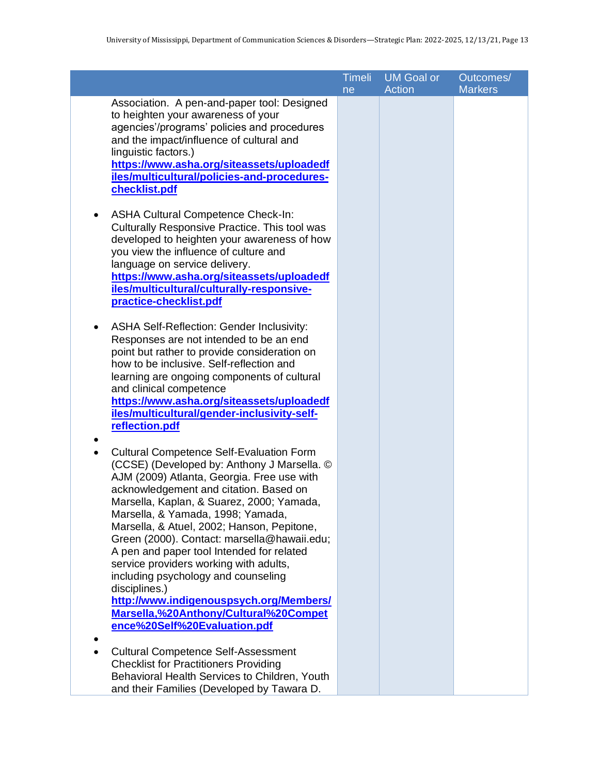|                                                                                              | <b>Timeli</b> | <b>UM Goal or</b> | Outcomes/      |
|----------------------------------------------------------------------------------------------|---------------|-------------------|----------------|
| Association. A pen-and-paper tool: Designed                                                  | ne            | <b>Action</b>     | <b>Markers</b> |
| to heighten your awareness of your                                                           |               |                   |                |
| agencies'/programs' policies and procedures                                                  |               |                   |                |
| and the impact/influence of cultural and                                                     |               |                   |                |
| linguistic factors.)                                                                         |               |                   |                |
| https://www.asha.org/siteassets/uploadedf                                                    |               |                   |                |
| iles/multicultural/policies-and-procedures-                                                  |               |                   |                |
| checklist.pdf                                                                                |               |                   |                |
|                                                                                              |               |                   |                |
| <b>ASHA Cultural Competence Check-In:</b>                                                    |               |                   |                |
| Culturally Responsive Practice. This tool was<br>developed to heighten your awareness of how |               |                   |                |
| you view the influence of culture and                                                        |               |                   |                |
| language on service delivery.                                                                |               |                   |                |
| https://www.asha.org/siteassets/uploadedf                                                    |               |                   |                |
| iles/multicultural/culturally-responsive-                                                    |               |                   |                |
| practice-checklist.pdf                                                                       |               |                   |                |
|                                                                                              |               |                   |                |
| ASHA Self-Reflection: Gender Inclusivity:                                                    |               |                   |                |
| Responses are not intended to be an end                                                      |               |                   |                |
| point but rather to provide consideration on                                                 |               |                   |                |
| how to be inclusive. Self-reflection and                                                     |               |                   |                |
| learning are ongoing components of cultural                                                  |               |                   |                |
| and clinical competence                                                                      |               |                   |                |
| https://www.asha.org/siteassets/uploadedf                                                    |               |                   |                |
| iles/multicultural/gender-inclusivity-self-<br>reflection.pdf                                |               |                   |                |
|                                                                                              |               |                   |                |
| <b>Cultural Competence Self-Evaluation Form</b>                                              |               |                   |                |
| (CCSE) (Developed by: Anthony J Marsella. ©                                                  |               |                   |                |
| AJM (2009) Atlanta, Georgia. Free use with                                                   |               |                   |                |
| acknowledgement and citation. Based on                                                       |               |                   |                |
| Marsella, Kaplan, & Suarez, 2000; Yamada,                                                    |               |                   |                |
| Marsella, & Yamada, 1998; Yamada,                                                            |               |                   |                |
| Marsella, & Atuel, 2002; Hanson, Pepitone,                                                   |               |                   |                |
| Green (2000). Contact: marsella@hawaii.edu;                                                  |               |                   |                |
| A pen and paper tool Intended for related                                                    |               |                   |                |
| service providers working with adults,                                                       |               |                   |                |
| including psychology and counseling                                                          |               |                   |                |
| disciplines.)                                                                                |               |                   |                |
| http://www.indigenouspsych.org/Members/<br>Marsella,%20Anthony/Cultural%20Compet             |               |                   |                |
| ence%20Self%20Evaluation.pdf                                                                 |               |                   |                |
|                                                                                              |               |                   |                |
| <b>Cultural Competence Self-Assessment</b>                                                   |               |                   |                |
| <b>Checklist for Practitioners Providing</b>                                                 |               |                   |                |
| Behavioral Health Services to Children, Youth                                                |               |                   |                |
| and their Families (Developed by Tawara D.                                                   |               |                   |                |